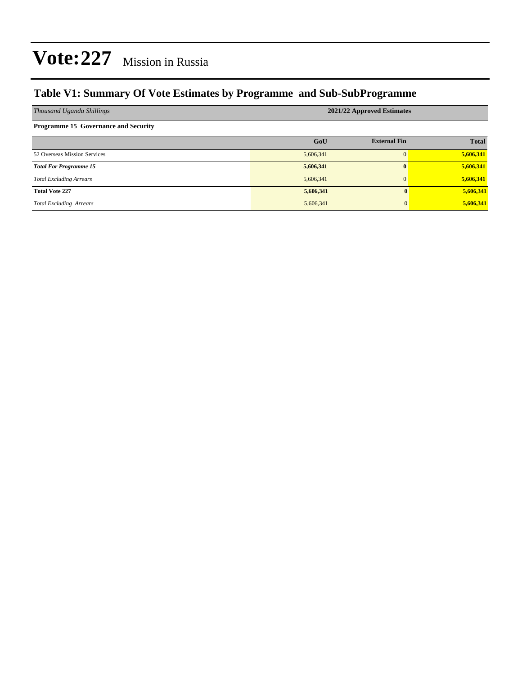### **Table V1: Summary Of Vote Estimates by Programme and Sub-SubProgramme**

| Thousand Uganda Shillings                   | 2021/22 Approved Estimates |                     |              |  |  |  |  |
|---------------------------------------------|----------------------------|---------------------|--------------|--|--|--|--|
| <b>Programme 15 Governance and Security</b> |                            |                     |              |  |  |  |  |
|                                             | GoU                        | <b>External Fin</b> | <b>Total</b> |  |  |  |  |
| 52 Overseas Mission Services                | 5,606,341                  |                     | 5,606,341    |  |  |  |  |
| <b>Total For Programme 15</b>               | 5,606,341                  | $\mathbf{0}$        | 5,606,341    |  |  |  |  |
| <b>Total Excluding Arrears</b>              | 5,606,341                  | $\mathbf{0}$        | 5,606,341    |  |  |  |  |
| <b>Total Vote 227</b>                       | 5,606,341                  | $\mathbf{0}$        | 5,606,341    |  |  |  |  |
| <b>Total Excluding Arrears</b>              | 5,606,341                  | 0                   | 5,606,341    |  |  |  |  |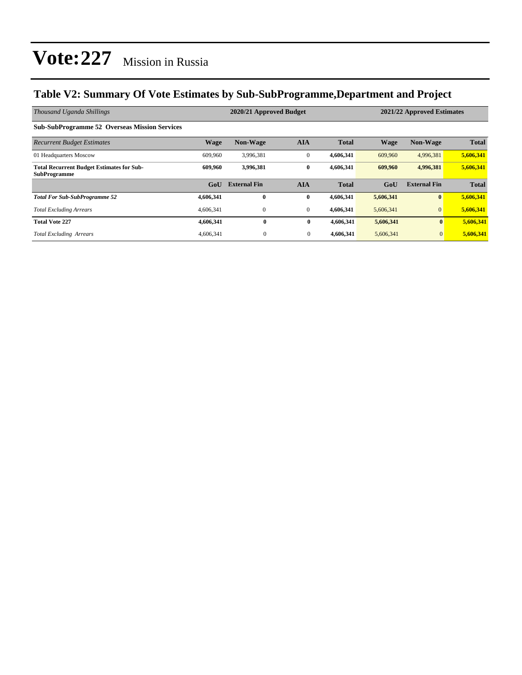### **Table V2: Summary Of Vote Estimates by Sub-SubProgramme,Department and Project**

| Thousand Uganda Shillings                                               |             | 2020/21 Approved Budget |                |              | 2021/22 Approved Estimates |                     |              |
|-------------------------------------------------------------------------|-------------|-------------------------|----------------|--------------|----------------------------|---------------------|--------------|
| <b>Sub-SubProgramme 52 Overseas Mission Services</b>                    |             |                         |                |              |                            |                     |              |
| <b>Recurrent Budget Estimates</b>                                       | <b>Wage</b> | <b>Non-Wage</b>         | <b>AIA</b>     | <b>Total</b> | <b>Wage</b>                | <b>Non-Wage</b>     | <b>Total</b> |
| 01 Headquarters Moscow                                                  | 609,960     | 3,996,381               | $\mathbf{0}$   | 4,606,341    | 609,960                    | 4,996,381           | 5,606,341    |
| <b>Total Recurrent Budget Estimates for Sub-</b><br><b>SubProgramme</b> | 609.960     | 3,996,381               | $\bf{0}$       | 4,606,341    | 609,960                    | 4,996,381           | 5,606,341    |
|                                                                         | GoU         | <b>External Fin</b>     | <b>AIA</b>     | <b>Total</b> | GoU                        | <b>External Fin</b> | <b>Total</b> |
| <b>Total For Sub-SubProgramme 52</b>                                    | 4,606,341   | $\bf{0}$                | $\bf{0}$       | 4,606,341    | 5,606,341                  | $\bf{0}$            | 5,606,341    |
| <b>Total Excluding Arrears</b>                                          | 4,606,341   | 0                       | $\mathbf{0}$   | 4,606,341    | 5,606,341                  | $\mathbf{0}$        | 5,606,341    |
| <b>Total Vote 227</b>                                                   | 4,606,341   | $\bf{0}$                | $\bf{0}$       | 4,606,341    | 5,606,341                  | $\bf{0}$            | 5,606,341    |
| <b>Total Excluding Arrears</b>                                          | 4,606,341   | $\overline{0}$          | $\overline{0}$ | 4,606,341    | 5,606,341                  | $\mathbf{0}$        | 5,606,341    |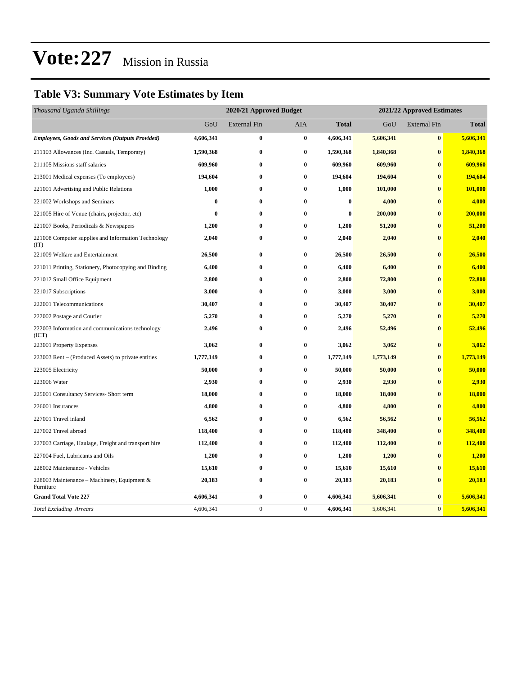### **Table V3: Summary Vote Estimates by Item**

| Thousand Uganda Shillings                                   | 2020/21 Approved Budget |                     |                  |              | 2021/22 Approved Estimates |                     |              |  |
|-------------------------------------------------------------|-------------------------|---------------------|------------------|--------------|----------------------------|---------------------|--------------|--|
|                                                             | GoU                     | <b>External Fin</b> | AIA              | <b>Total</b> | GoU                        | <b>External Fin</b> | <b>Total</b> |  |
| <b>Employees, Goods and Services (Outputs Provided)</b>     | 4,606,341               | $\bf{0}$            | $\bf{0}$         | 4,606,341    | 5,606,341                  | $\bf{0}$            | 5,606,341    |  |
| 211103 Allowances (Inc. Casuals, Temporary)                 | 1,590,368               | 0                   | $\bf{0}$         | 1,590,368    | 1,840,368                  | $\bf{0}$            | 1,840,368    |  |
| 211105 Missions staff salaries                              | 609,960                 | 0                   | $\bf{0}$         | 609,960      | 609,960                    | $\bf{0}$            | 609,960      |  |
| 213001 Medical expenses (To employees)                      | 194,604                 | $\bf{0}$            | $\bf{0}$         | 194,604      | 194,604                    | $\bf{0}$            | 194,604      |  |
| 221001 Advertising and Public Relations                     | 1,000                   | $\bf{0}$            | $\bf{0}$         | 1,000        | 101,000                    | $\bf{0}$            | 101,000      |  |
| 221002 Workshops and Seminars                               | $\bf{0}$                | 0                   | $\bf{0}$         | $\bf{0}$     | 4,000                      | $\bf{0}$            | 4,000        |  |
| 221005 Hire of Venue (chairs, projector, etc)               | $\bf{0}$                | 0                   | $\bf{0}$         | $\bf{0}$     | 200,000                    | $\bf{0}$            | 200,000      |  |
| 221007 Books, Periodicals & Newspapers                      | 1,200                   | $\bf{0}$            | $\bf{0}$         | 1,200        | 51,200                     | $\bf{0}$            | 51,200       |  |
| 221008 Computer supplies and Information Technology<br>(TT) | 2,040                   | 0                   | $\bf{0}$         | 2,040        | 2,040                      | $\bf{0}$            | 2,040        |  |
| 221009 Welfare and Entertainment                            | 26,500                  | 0                   | $\bf{0}$         | 26,500       | 26,500                     | $\bf{0}$            | 26,500       |  |
| 221011 Printing, Stationery, Photocopying and Binding       | 6,400                   | 0                   | $\bf{0}$         | 6,400        | 6,400                      | $\bf{0}$            | 6,400        |  |
| 221012 Small Office Equipment                               | 2,800                   | 0                   | $\bf{0}$         | 2,800        | 72,800                     | $\bf{0}$            | 72,800       |  |
| 221017 Subscriptions                                        | 3,000                   | 0                   | $\bf{0}$         | 3,000        | 3,000                      | $\bf{0}$            | 3,000        |  |
| 222001 Telecommunications                                   | 30,407                  | 0                   | $\bf{0}$         | 30,407       | 30,407                     | $\bf{0}$            | 30,407       |  |
| 222002 Postage and Courier                                  | 5,270                   | 0                   | $\bf{0}$         | 5,270        | 5,270                      | $\bf{0}$            | 5,270        |  |
| 222003 Information and communications technology<br>(ICT)   | 2,496                   | $\bf{0}$            | $\bf{0}$         | 2,496        | 52,496                     | $\bf{0}$            | 52,496       |  |
| 223001 Property Expenses                                    | 3,062                   | 0                   | $\bf{0}$         | 3,062        | 3,062                      | $\bf{0}$            | 3,062        |  |
| 223003 Rent – (Produced Assets) to private entities         | 1,777,149               | 0                   | $\bf{0}$         | 1,777,149    | 1,773,149                  | $\bf{0}$            | 1,773,149    |  |
| 223005 Electricity                                          | 50,000                  | $\bf{0}$            | $\bf{0}$         | 50,000       | 50,000                     | $\bf{0}$            | 50,000       |  |
| 223006 Water                                                | 2,930                   | 0                   | $\bf{0}$         | 2,930        | 2,930                      | $\bf{0}$            | 2,930        |  |
| 225001 Consultancy Services- Short term                     | 18,000                  | $\bf{0}$            | $\bf{0}$         | 18,000       | 18,000                     | $\bf{0}$            | 18,000       |  |
| 226001 Insurances                                           | 4,800                   | 0                   | $\bf{0}$         | 4,800        | 4,800                      | $\bf{0}$            | 4,800        |  |
| 227001 Travel inland                                        | 6,562                   | $\bf{0}$            | $\bf{0}$         | 6,562        | 56,562                     | $\bf{0}$            | 56,562       |  |
| 227002 Travel abroad                                        | 118,400                 | $\bf{0}$            | $\bf{0}$         | 118,400      | 348,400                    | $\bf{0}$            | 348,400      |  |
| 227003 Carriage, Haulage, Freight and transport hire        | 112,400                 | 0                   | $\bf{0}$         | 112,400      | 112,400                    | $\bf{0}$            | 112,400      |  |
| 227004 Fuel, Lubricants and Oils                            | 1,200                   | 0                   | $\bf{0}$         | 1,200        | 1,200                      | $\bf{0}$            | 1,200        |  |
| 228002 Maintenance - Vehicles                               | 15,610                  | 0                   | $\bf{0}$         | 15,610       | 15,610                     | $\bf{0}$            | 15,610       |  |
| 228003 Maintenance - Machinery, Equipment &<br>Furniture    | 20,183                  | 0                   | $\bf{0}$         | 20,183       | 20,183                     | $\bf{0}$            | 20,183       |  |
| <b>Grand Total Vote 227</b>                                 | 4,606,341               | 0                   | $\bf{0}$         | 4,606,341    | 5,606,341                  | $\bf{0}$            | 5,606,341    |  |
| <b>Total Excluding Arrears</b>                              | 4,606,341               | $\boldsymbol{0}$    | $\boldsymbol{0}$ | 4,606,341    | 5,606,341                  | $\mathbf{0}$        | 5,606,341    |  |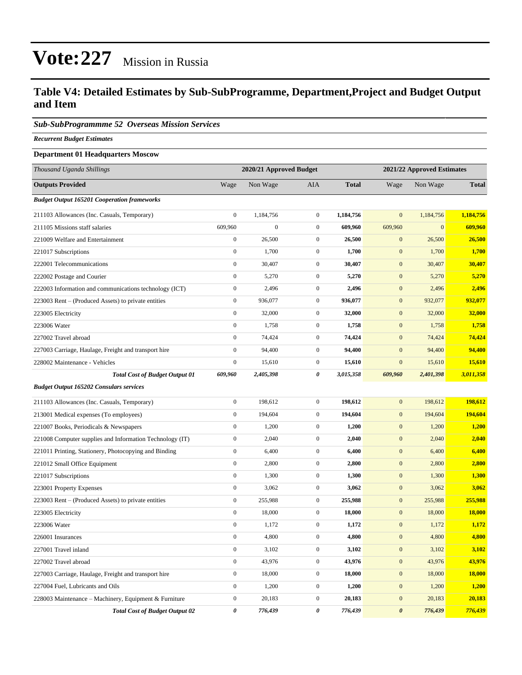### **Table V4: Detailed Estimates by Sub-SubProgramme, Department,Project and Budget Output and Item**

### *Sub-SubProgrammme 52 Overseas Mission Services*

*Recurrent Budget Estimates*

### **Department 01 Headquarters Moscow**

| Thousand Uganda Shillings                                | 2020/21 Approved Budget |                  |                  | 2021/22 Approved Estimates |                       |              |               |
|----------------------------------------------------------|-------------------------|------------------|------------------|----------------------------|-----------------------|--------------|---------------|
| <b>Outputs Provided</b>                                  | Wage                    | Non Wage         | AIA              | <b>Total</b>               | Wage                  | Non Wage     | <b>Total</b>  |
| <b>Budget Output 165201 Cooperation frameworks</b>       |                         |                  |                  |                            |                       |              |               |
| 211103 Allowances (Inc. Casuals, Temporary)              | $\boldsymbol{0}$        | 1,184,756        | $\overline{0}$   | 1,184,756                  | $\mathbf{0}$          | 1,184,756    | 1,184,756     |
| 211105 Missions staff salaries                           | 609,960                 | $\boldsymbol{0}$ | $\mathbf{0}$     | 609,960                    | 609,960               | $\mathbf{0}$ | 609,960       |
| 221009 Welfare and Entertainment                         | $\boldsymbol{0}$        | 26,500           | $\mathbf{0}$     | 26,500                     | $\mathbf{0}$          | 26,500       | 26,500        |
| 221017 Subscriptions                                     | $\boldsymbol{0}$        | 1,700            | $\boldsymbol{0}$ | 1,700                      | $\mathbf{0}$          | 1,700        | 1,700         |
| 222001 Telecommunications                                | $\boldsymbol{0}$        | 30,407           | $\mathbf{0}$     | 30,407                     | $\mathbf{0}$          | 30,407       | 30,407        |
| 222002 Postage and Courier                               | $\boldsymbol{0}$        | 5,270            | $\overline{0}$   | 5,270                      | $\mathbf{0}$          | 5,270        | 5,270         |
| 222003 Information and communications technology (ICT)   | $\boldsymbol{0}$        | 2,496            | $\overline{0}$   | 2,496                      | $\mathbf{0}$          | 2,496        | 2,496         |
| 223003 Rent - (Produced Assets) to private entities      | $\boldsymbol{0}$        | 936,077          | $\mathbf{0}$     | 936,077                    | $\mathbf{0}$          | 932,077      | 932,077       |
| 223005 Electricity                                       | $\boldsymbol{0}$        | 32,000           | $\mathbf{0}$     | 32,000                     | $\bf{0}$              | 32,000       | 32,000        |
| 223006 Water                                             | $\boldsymbol{0}$        | 1,758            | $\mathbf{0}$     | 1,758                      | $\mathbf{0}$          | 1,758        | 1,758         |
| 227002 Travel abroad                                     | $\boldsymbol{0}$        | 74,424           | $\mathbf{0}$     | 74,424                     | $\mathbf{0}$          | 74,424       | 74,424        |
| 227003 Carriage, Haulage, Freight and transport hire     | $\boldsymbol{0}$        | 94,400           | $\mathbf{0}$     | 94,400                     | $\mathbf{0}$          | 94,400       | 94,400        |
| 228002 Maintenance - Vehicles                            | $\boldsymbol{0}$        | 15,610           | $\mathbf{0}$     | 15,610                     | $\mathbf{0}$          | 15,610       | 15,610        |
| <b>Total Cost of Budget Output 01</b>                    | 609,960                 | 2,405,398        | 0                | 3,015,358                  | 609,960               | 2,401,398    | 3,011,358     |
| <b>Budget Output 165202 Consulars services</b>           |                         |                  |                  |                            |                       |              |               |
| 211103 Allowances (Inc. Casuals, Temporary)              | $\boldsymbol{0}$        | 198,612          | $\mathbf{0}$     | 198,612                    | $\mathbf{0}$          | 198,612      | 198,612       |
| 213001 Medical expenses (To employees)                   | $\boldsymbol{0}$        | 194,604          | $\overline{0}$   | 194,604                    | $\mathbf{0}$          | 194,604      | 194,604       |
| 221007 Books, Periodicals & Newspapers                   | $\boldsymbol{0}$        | 1,200            | $\overline{0}$   | 1,200                      | $\mathbf{0}$          | 1,200        | 1,200         |
| 221008 Computer supplies and Information Technology (IT) | $\boldsymbol{0}$        | 2,040            | $\mathbf{0}$     | 2,040                      | $\mathbf{0}$          | 2,040        | 2,040         |
| 221011 Printing, Stationery, Photocopying and Binding    | $\boldsymbol{0}$        | 6,400            | $\mathbf{0}$     | 6,400                      | $\mathbf{0}$          | 6,400        | 6,400         |
| 221012 Small Office Equipment                            | $\boldsymbol{0}$        | 2,800            | $\mathbf{0}$     | 2,800                      | $\mathbf{0}$          | 2,800        | 2,800         |
| 221017 Subscriptions                                     | $\boldsymbol{0}$        | 1,300            | $\mathbf{0}$     | 1,300                      | $\mathbf{0}$          | 1,300        | 1,300         |
| 223001 Property Expenses                                 | $\boldsymbol{0}$        | 3,062            | $\boldsymbol{0}$ | 3,062                      | $\mathbf{0}$          | 3,062        | 3,062         |
| 223003 Rent – (Produced Assets) to private entities      | $\boldsymbol{0}$        | 255,988          | $\mathbf{0}$     | 255,988                    | $\mathbf{0}$          | 255,988      | 255,988       |
| 223005 Electricity                                       | $\boldsymbol{0}$        | 18,000           | $\mathbf{0}$     | 18,000                     | $\mathbf{0}$          | 18,000       | <b>18,000</b> |
| 223006 Water                                             | $\boldsymbol{0}$        | 1,172            | $\mathbf{0}$     | 1,172                      | $\mathbf{0}$          | 1,172        | 1,172         |
| 226001 Insurances                                        | $\boldsymbol{0}$        | 4,800            | $\mathbf{0}$     | 4,800                      | $\mathbf{0}$          | 4,800        | 4,800         |
| 227001 Travel inland                                     | $\boldsymbol{0}$        | 3,102            | $\boldsymbol{0}$ | 3,102                      | $\mathbf{0}$          | 3,102        | 3,102         |
| 227002 Travel abroad                                     | $\boldsymbol{0}$        | 43,976           | $\boldsymbol{0}$ | 43,976                     | $\mathbf{0}$          | 43,976       | 43,976        |
| 227003 Carriage, Haulage, Freight and transport hire     | $\boldsymbol{0}$        | 18,000           | $\boldsymbol{0}$ | 18,000                     | $\mathbf{0}$          | 18,000       | 18,000        |
| 227004 Fuel, Lubricants and Oils                         | $\boldsymbol{0}$        | 1,200            | $\boldsymbol{0}$ | 1,200                      | $\mathbf{0}$          | 1,200        | 1,200         |
| 228003 Maintenance – Machinery, Equipment & Furniture    | $\boldsymbol{0}$        | 20,183           | $\boldsymbol{0}$ | 20,183                     | $\mathbf{0}$          | 20,183       | 20,183        |
| <b>Total Cost of Budget Output 02</b>                    | 0                       | 776,439          | 0                | 776,439                    | $\boldsymbol{\theta}$ | 776,439      | 776,439       |